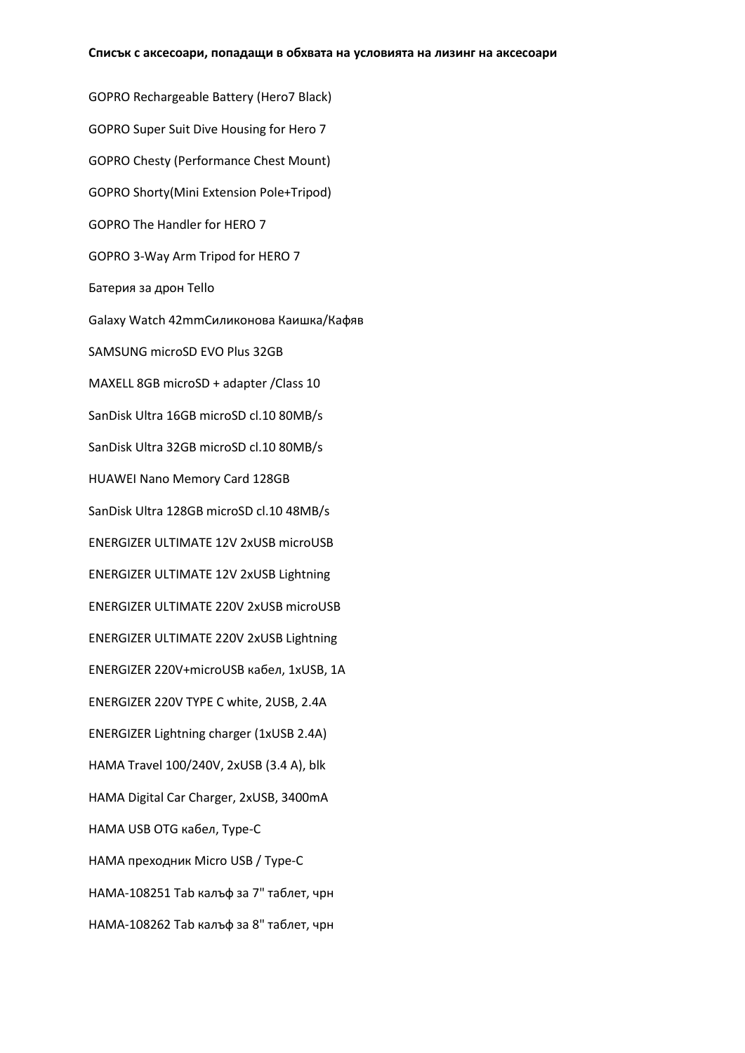GOPRO Rechargeable Battery (Hero7 Black) GOPRO Super Suit Dive Housing for Hero 7 GOPRO Chesty (Performance Chest Mount) GOPRO Shorty(Mini Extension Pole+Tripod) GOPRO The Handler for HERO 7 GOPRO 3-Way Arm Tripod for HERO 7 Батерия за дрон Tello Galaxy Watch 42mmСиликонова Каишка/Кафяв SAMSUNG microSD EVO Plus 32GB MAXELL 8GB microSD + adapter /Class 10 SanDisk Ultra 16GB microSD cl.10 80MB/s SanDisk Ultra 32GB microSD cl.10 80MB/s HUAWEI Nano Memory Card 128GB SanDisk Ultra 128GB microSD cl.10 48MB/s ENERGIZER ULTIMATE 12V 2xUSB microUSB ENERGIZER ULTIMATE 12V 2xUSB Lightning ENERGIZER ULTIMATE 220V 2xUSB microUSB ENERGIZER ULTIMATE 220V 2xUSB Lightning ENERGIZER 220V+microUSB кабел, 1xUSB, 1A ENERGIZER 220V TYPE C white, 2USB, 2.4A ENERGIZER Lightning charger (1xUSB 2.4A) HAMA Travel 100/240V, 2xUSB (3.4 A), blk HAMA Digital Car Charger, 2xUSB, 3400mA HAMA USB OTG кабел, Type-C HAMA преходник Micro USB / Type-C HAMA-108251 Tab калъф за 7" таблет, чрн HAMA-108262 Tab калъф за 8" таблет, чрн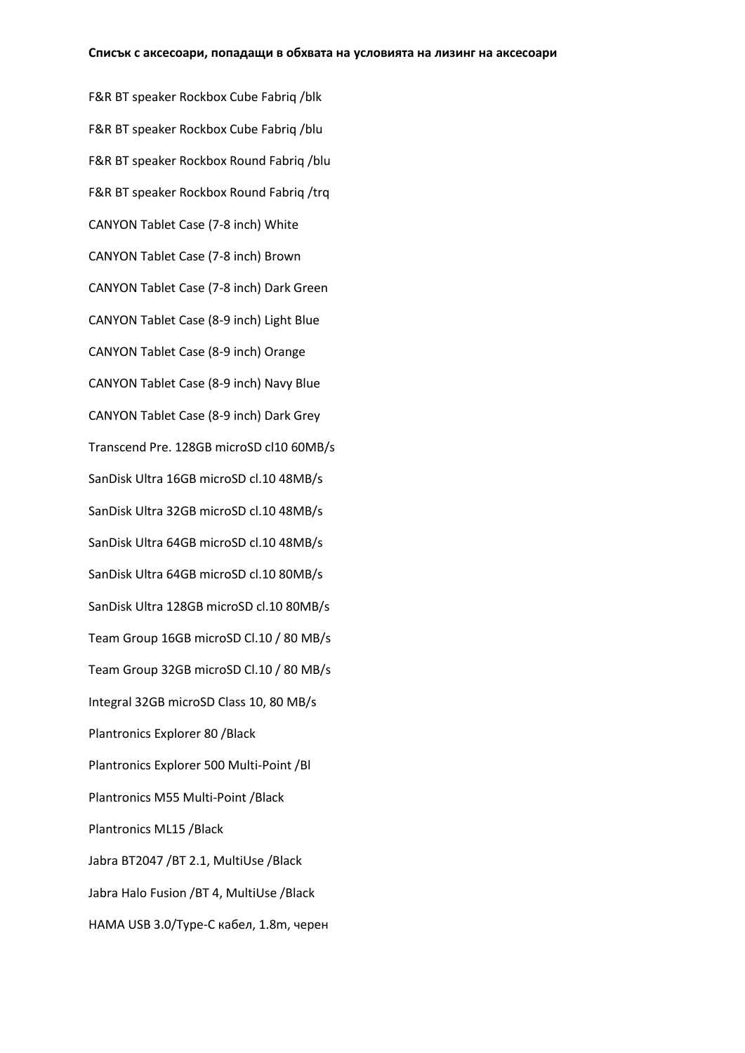F&R BT speaker Rockbox Cube Fabriq /blk F&R BT speaker Rockbox Cube Fabriq /blu F&R BT speaker Rockbox Round Fabriq /blu F&R BT speaker Rockbox Round Fabriq /trq CANYON Tablet Case (7-8 inch) White CANYON Tablet Case (7-8 inch) Brown CANYON Tablet Case (7-8 inch) Dark Green CANYON Tablet Case (8-9 inch) Light Blue CANYON Tablet Case (8-9 inch) Orange CANYON Tablet Case (8-9 inch) Navy Blue CANYON Tablet Case (8-9 inch) Dark Grey Transcend Pre. 128GB microSD cl10 60MB/s SanDisk Ultra 16GB microSD cl.10 48MB/s SanDisk Ultra 32GB microSD cl.10 48MB/s SanDisk Ultra 64GB microSD cl.10 48MB/s SanDisk Ultra 64GB microSD cl.10 80MB/s SanDisk Ultra 128GB microSD cl.10 80MB/s Team Group 16GB microSD Cl.10 / 80 MB/s Team Group 32GB microSD Cl.10 / 80 MB/s Integral 32GB microSD Class 10, 80 MB/s Plantronics Explorer 80 /Black Plantronics Explorer 500 Multi-Point /Bl Plantronics M55 Multi-Point /Black Plantronics ML15 /Black Jabra BT2047 /BT 2.1, MultiUse /Black Jabra Halo Fusion /BT 4, MultiUse /Black HAMA USB 3.0/Type-C кабел, 1.8m, черен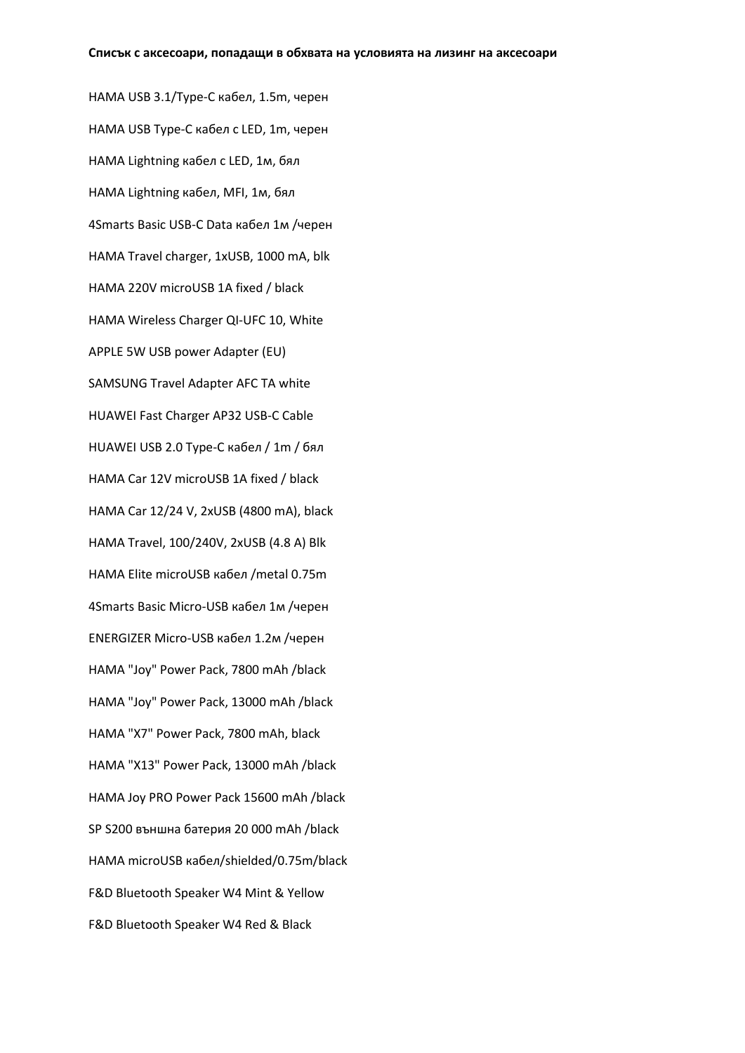HAMA USB 3.1/Type-C кабел, 1.5m, черен HAMA USB Type-C кабел с LED, 1m, черен HAMA Lightning кабел с LED, 1м, бял HAMA Lightning кабел, MFI, 1м, бял 4Smarts Basic USB-C Data кабел 1м /черен HAMA Travel charger, 1xUSB, 1000 mA, blk HAMA 220V microUSB 1A fixed / black HAMA Wireless Charger QI-UFC 10, White APPLE 5W USB power Adapter (EU) SAMSUNG Travel Adapter AFC TA white HUAWEI Fast Charger AP32 USB-C Cable HUAWEI USB 2.0 Type-C кабел / 1m / бял HAMA Car 12V microUSB 1A fixed / black HAMA Car 12/24 V, 2xUSB (4800 mA), black HAMA Travel, 100/240V, 2xUSB (4.8 A) Blk HAMA Elite microUSB кабел /metal 0.75m 4Smarts Basic Micro-USB кабел 1м /черен ENERGIZER Micro-USB кабел 1.2м /черен HAMA "Joy" Power Pack, 7800 mAh /black HAMA "Joy" Power Pack, 13000 mAh /black HAMA "X7" Power Pack, 7800 mAh, black HAMA "X13" Power Pack, 13000 mAh /black HAMA Joy PRO Power Pack 15600 mAh /black SP S200 външна батерия 20 000 mAh /black HAMA microUSB кабел/shielded/0.75m/black F&D Bluetooth Speaker W4 Mint & Yellow F&D Bluetooth Speaker W4 Red & Black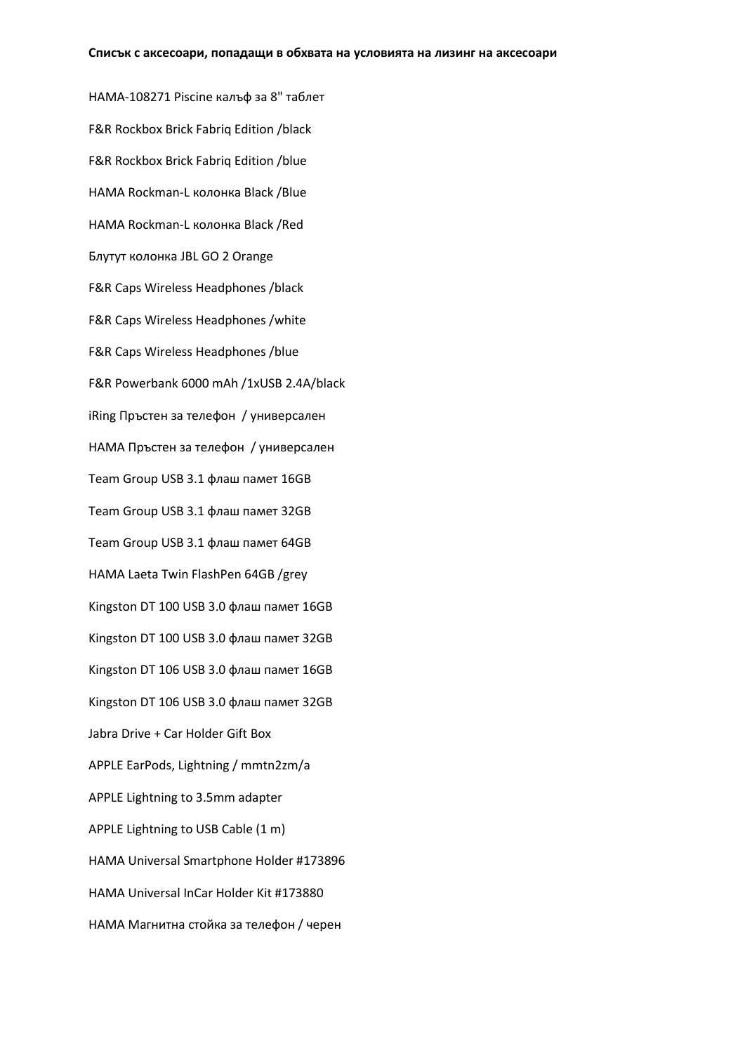HAMA-108271 Piscine калъф за 8" таблет F&R Rockbox Brick Fabriq Edition /black F&R Rockbox Brick Fabriq Edition /blue HAMA Rockman-L колонка Black /Blue HAMA Rockman-L колонка Black /Red Блутут колонка JBL GO 2 Orange F&R Caps Wireless Headphones /black F&R Caps Wireless Headphones /white F&R Caps Wireless Headphones /blue F&R Powerbank 6000 mAh /1xUSB 2.4A/black iRing Пръстен за телефон / универсален HAMA Пръстен за телефон / универсален Team Group USB 3.1 флаш памет 16GB Team Group USB 3.1 флаш памет 32GB Team Group USB 3.1 флаш памет 64GB HAMA Laeta Twin FlashPen 64GB /grey Kingston DT 100 USB 3.0 флаш памет 16GB Kingston DT 100 USB 3.0 флаш памет 32GB Kingston DT 106 USB 3.0 флаш памет 16GB Kingston DT 106 USB 3.0 флаш памет 32GB Jabra Drive + Car Holder Gift Box APPLE EarPods, Lightning / mmtn2zm/a APPLE Lightning to 3.5mm adapter APPLE Lightning to USB Cable (1 m) HAMA Universal Smartphone Holder #173896 HAMA Universal InCar Holder Kit #173880 HAMA Mагнитна стойка за телефон / черен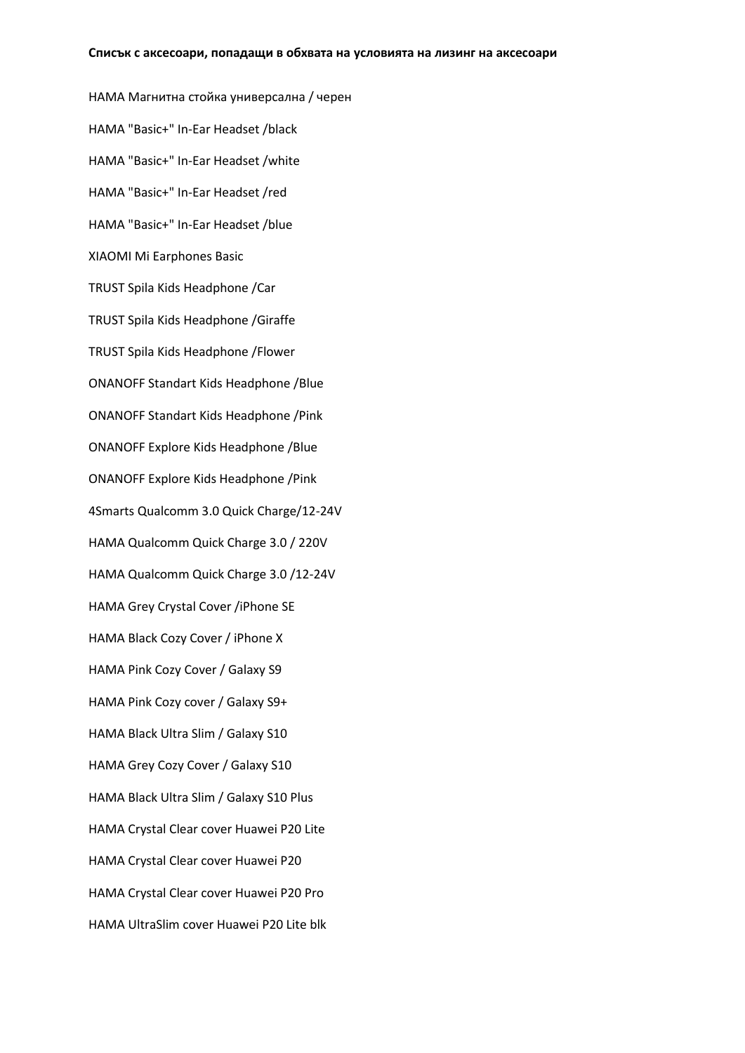HAMA Магнитна стойка универсална / черен HAMA "Basic+" In-Ear Headset /black HAMA "Basic+" In-Ear Headset /white HAMA "Basic+" In-Ear Headset /red HAMA "Basic+" In-Ear Headset /blue XIAOMI Mi Earphones Basic TRUST Spila Kids Headphone /Car TRUST Spila Kids Headphone /Giraffe TRUST Spila Kids Headphone /Flower ONANOFF Standart Kids Headphone /Blue ONANOFF Standart Kids Headphone /Pink ONANOFF Explore Kids Headphone /Blue ONANOFF Explore Kids Headphone /Pink 4Smarts Qualcomm 3.0 Quick Charge/12-24V HAMA Qualcomm Quick Charge 3.0 / 220V HAMA Qualcomm Quick Charge 3.0 /12-24V HAMA Grey Crystal Cover /iPhone SE HAMA Black Cozy Cover / iPhone X HAMA Pink Cozy Cover / Galaxy S9 HAMA Pink Cozy cover / Galaxy S9+ HAMA Black Ultra Slim / Galaxy S10 HAMA Grey Cozy Cover / Galaxy S10 HAMA Black Ultra Slim / Galaxy S10 Plus HAMA Crystal Clear cover Huawei P20 Lite HAMA Crystal Clear cover Huawei P20 HAMA Crystal Clear cover Huawei P20 Pro HAMA UltraSlim cover Huawei P20 Lite blk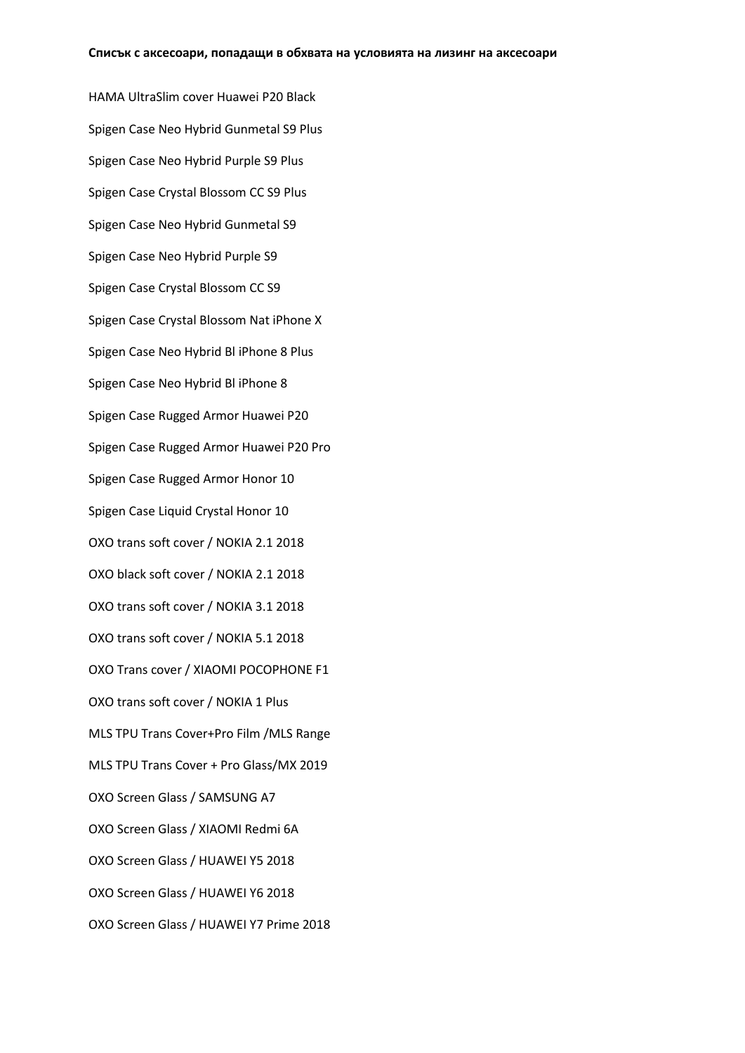HAMA UltraSlim cover Huawei P20 Black Spigen Case Neo Hybrid Gunmetal S9 Plus Spigen Case Neo Hybrid Purple S9 Plus Spigen Case Crystal Blossom CC S9 Plus Spigen Case Neo Hybrid Gunmetal S9 Spigen Case Neo Hybrid Purple S9 Spigen Case Crystal Blossom CC S9 Spigen Case Crystal Blossom Nat iPhone X Spigen Case Neo Hybrid Bl iPhone 8 Plus Spigen Case Neo Hybrid Bl iPhone 8 Spigen Case Rugged Armor Huawei P20 Spigen Case Rugged Armor Huawei P20 Pro Spigen Case Rugged Armor Honor 10 Spigen Case Liquid Crystal Honor 10 OXO trans soft cover / NOKIA 2.1 2018 OXO black soft cover / NOKIA 2.1 2018 OXO trans soft cover / NOKIA 3.1 2018 OXO trans soft cover / NOKIA 5.1 2018 OXO Trans cover / XIAOMI POCOPHONE F1 OXO trans soft cover / NOKIA 1 Plus MLS TPU Trans Cover+Pro Film /MLS Range MLS TPU Trans Cover + Pro Glass/MX 2019 OXO Screen Glass / SAMSUNG A7 OXO Screen Glass / XIAOMI Redmi 6A OXO Screen Glass / HUAWEI Y5 2018 OXO Screen Glass / HUAWEI Y6 2018 OXO Screen Glass / HUAWEI Y7 Prime 2018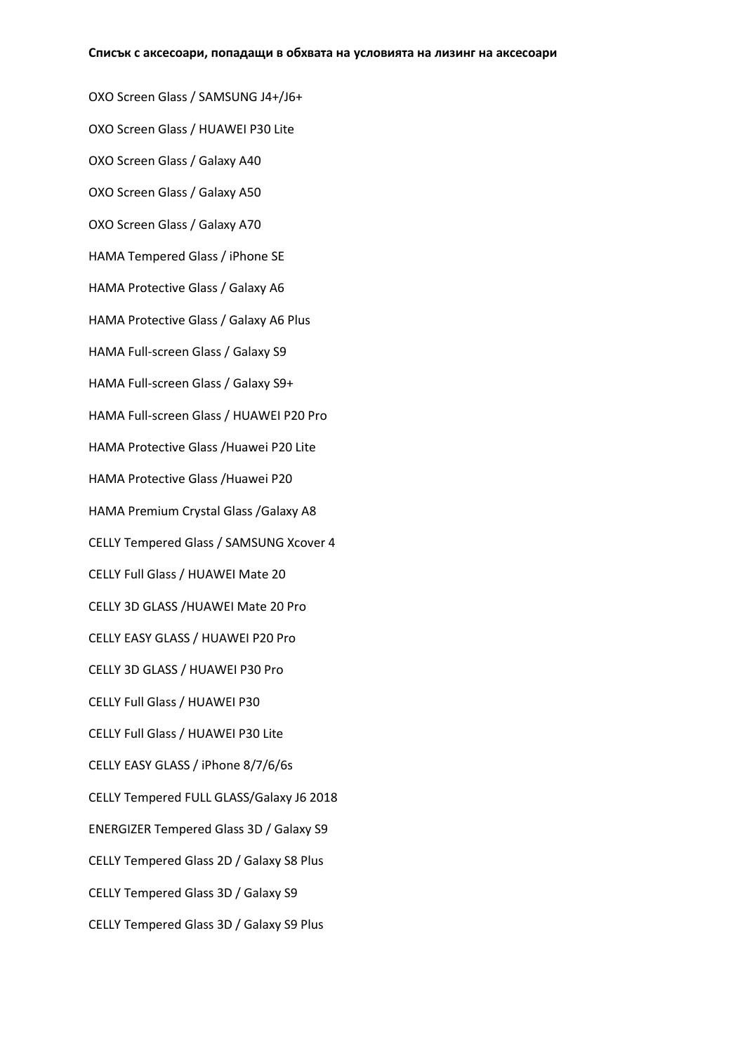OXO Screen Glass / SAMSUNG J4+/J6+ OXO Screen Glass / HUAWEI P30 Lite OXO Screen Glass / Galaxy A40 OXO Screen Glass / Galaxy A50 OXO Screen Glass / Galaxy A70 HAMA Tempered Glass / iPhone SE HAMA Protective Glass / Galaxy A6 HAMA Protective Glass / Galaxy A6 Plus HAMA Full-screen Glass / Galaxy S9 HAMA Full-screen Glass / Galaxy S9+ HAMA Full-screen Glass / HUAWEI P20 Pro HAMA Protective Glass /Huawei P20 Lite HAMA Protective Glass /Huawei P20 HAMA Premium Crystal Glass /Galaxy A8 CELLY Tempered Glass / SAMSUNG Xcover 4 CELLY Full Glass / HUAWEI Mate 20 CELLY 3D GLASS /HUAWEI Mate 20 Pro CELLY EASY GLASS / HUAWEI P20 Pro CELLY 3D GLASS / HUAWEI P30 Pro CELLY Full Glass / HUAWEI P30 CELLY Full Glass / HUAWEI P30 Lite CELLY EASY GLASS / iPhone 8/7/6/6s CELLY Tempered FULL GLASS/Galaxy J6 2018 ENERGIZER Tempered Glass 3D / Galaxy S9 CELLY Tempered Glass 2D / Galaxy S8 Plus CELLY Tempered Glass 3D / Galaxy S9 CELLY Tempered Glass 3D / Galaxy S9 Plus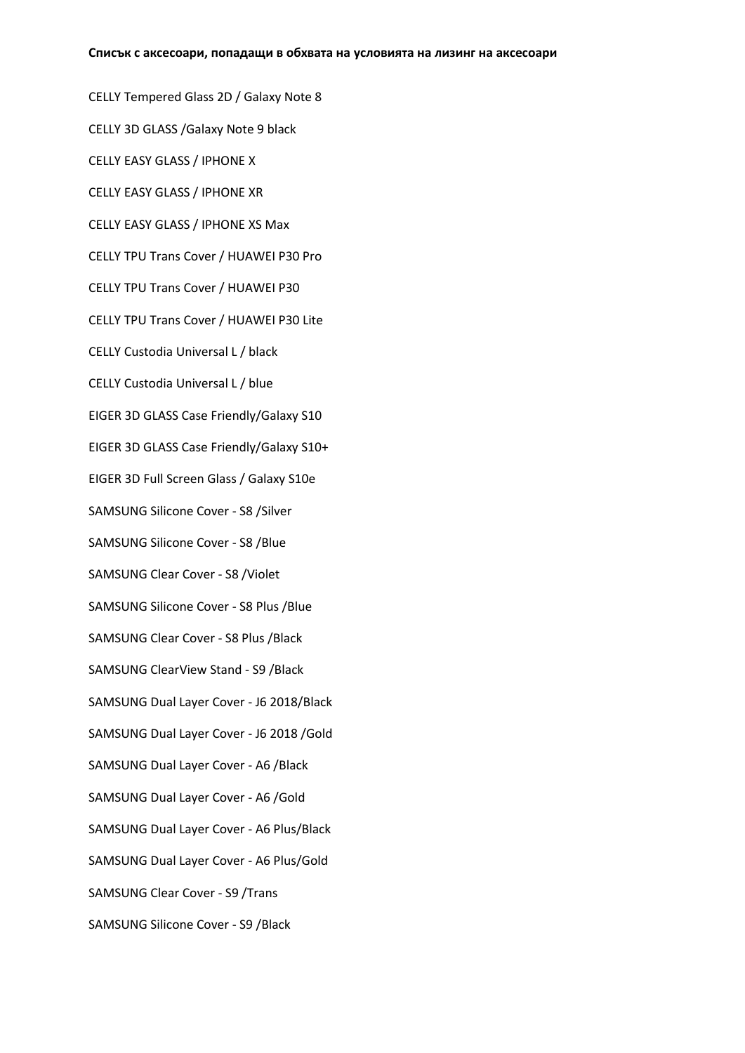CELLY Tempered Glass 2D / Galaxy Note 8 CELLY 3D GLASS /Galaxy Note 9 black CELLY EASY GLASS / IPHONE X CELLY EASY GLASS / IPHONE XR CELLY EASY GLASS / IPHONE XS Max CELLY TPU Trans Cover / HUAWEI P30 Pro CELLY TPU Trans Cover / HUAWEI P30 CELLY TPU Trans Cover / HUAWEI P30 Lite CELLY Custodia Universal L / black CELLY Custodia Universal L / blue EIGER 3D GLASS Case Friendly/Galaxy S10 EIGER 3D GLASS Case Friendly/Galaxy S10+ EIGER 3D Full Screen Glass / Galaxy S10e SAMSUNG Silicone Cover - S8 /Silver SAMSUNG Silicone Cover - S8 /Blue SAMSUNG Clear Cover - S8 /Violet SAMSUNG Silicone Cover - S8 Plus /Blue SAMSUNG Clear Cover - S8 Plus /Black SAMSUNG ClearView Stand - S9 /Black SAMSUNG Dual Layer Cover - J6 2018/Black SAMSUNG Dual Layer Cover - J6 2018 /Gold SAMSUNG Dual Layer Cover - A6 /Black SAMSUNG Dual Layer Cover - A6 /Gold SAMSUNG Dual Layer Cover - A6 Plus/Black SAMSUNG Dual Layer Cover - A6 Plus/Gold SAMSUNG Clear Cover - S9 /Trans SAMSUNG Silicone Cover - S9 /Black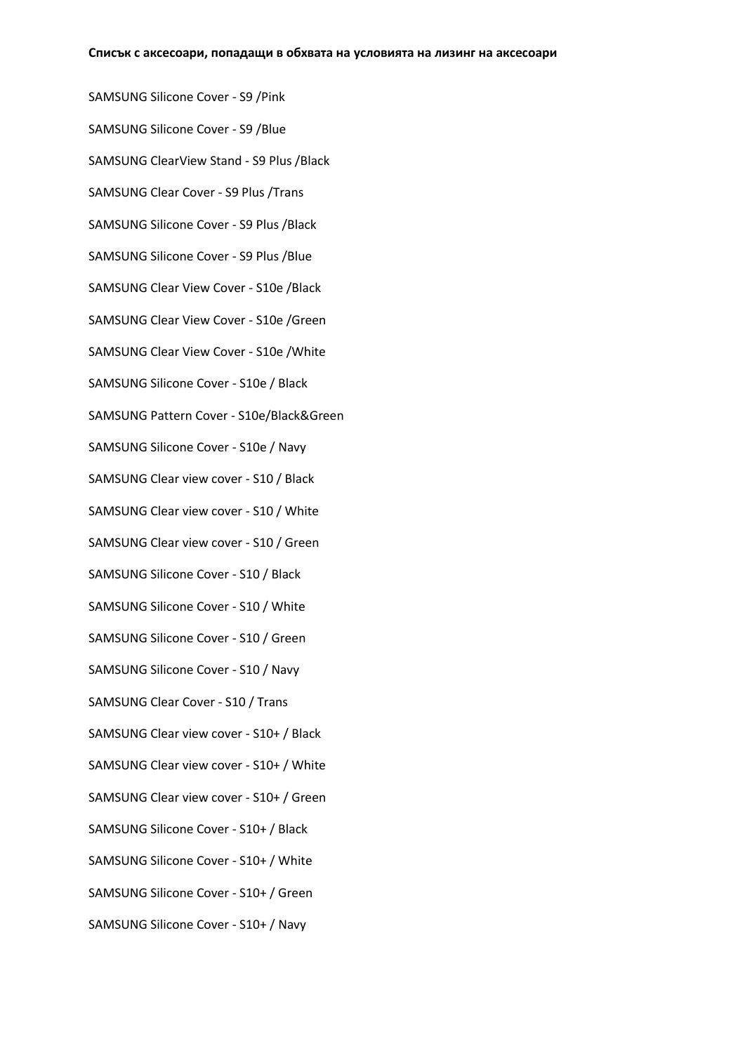SAMSUNG Silicone Cover - S9 /Pink SAMSUNG Silicone Cover - S9 /Blue SAMSUNG ClearView Stand - S9 Plus /Black SAMSUNG Clear Cover - S9 Plus /Trans SAMSUNG Silicone Cover - S9 Plus /Black SAMSUNG Silicone Cover - S9 Plus /Blue SAMSUNG Clear View Cover - S10e /Black SAMSUNG Clear View Cover - S10e /Green SAMSUNG Clear View Cover - S10e /White SAMSUNG Silicone Cover - S10e / Black SAMSUNG Pattern Cover - S10e/Black&Green SAMSUNG Silicone Cover - S10e / Navy SAMSUNG Clear view cover - S10 / Black SAMSUNG Clear view cover - S10 / White SAMSUNG Clear view cover - S10 / Green SAMSUNG Silicone Cover - S10 / Black SAMSUNG Silicone Cover - S10 / White SAMSUNG Silicone Cover - S10 / Green SAMSUNG Silicone Cover - S10 / Navy SAMSUNG Clear Cover - S10 / Trans SAMSUNG Clear view cover - S10+ / Black SAMSUNG Clear view cover - S10+ / White SAMSUNG Clear view cover - S10+ / Green SAMSUNG Silicone Cover - S10+ / Black SAMSUNG Silicone Cover - S10+ / White SAMSUNG Silicone Cover - S10+ / Green SAMSUNG Silicone Cover - S10+ / Navy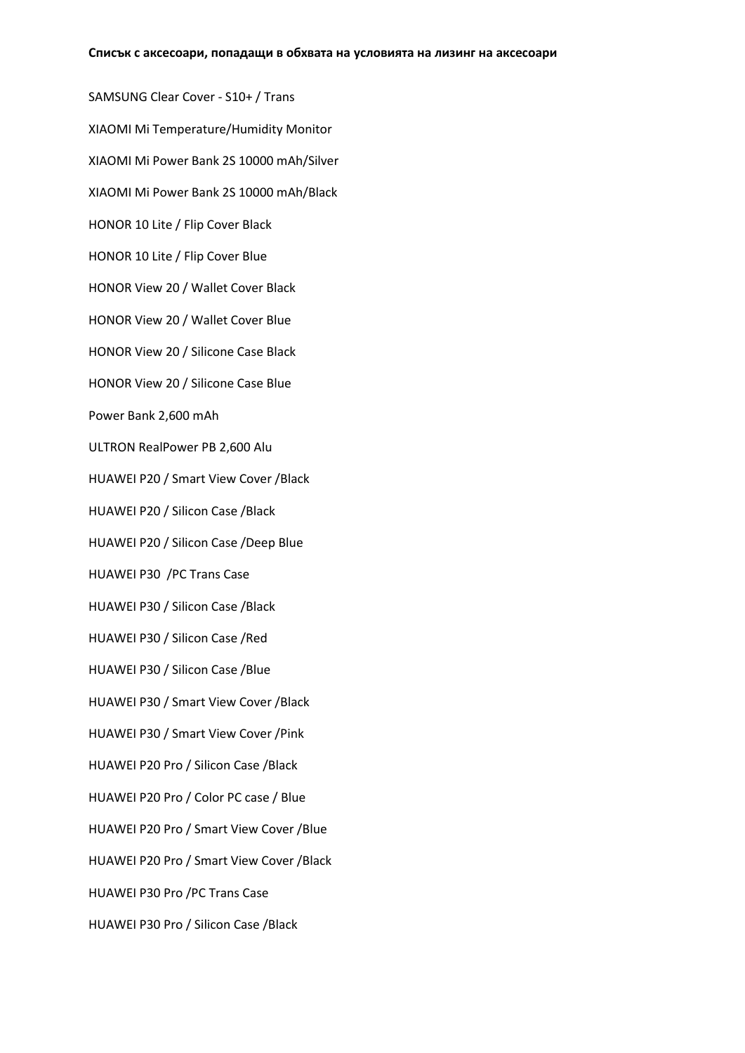SAMSUNG Clear Cover - S10+ / Trans XIAOMI Mi Temperature/Humidity Monitor XIAOMI Mi Power Bank 2S 10000 mAh/Silver XIAOMI Mi Power Bank 2S 10000 mAh/Black HONOR 10 Lite / Flip Cover Black HONOR 10 Lite / Flip Cover Blue HONOR View 20 / Wallet Cover Black HONOR View 20 / Wallet Cover Blue HONOR View 20 / Silicone Case Black HONOR View 20 / Silicone Case Blue Power Bank 2,600 mAh ULTRON RealPower PB 2,600 Alu HUAWEI P20 / Smart View Cover /Black HUAWEI P20 / Silicon Case /Black HUAWEI P20 / Silicon Case /Deep Blue HUAWEI P30 /PC Trans Case HUAWEI P30 / Silicon Case /Black HUAWEI P30 / Silicon Case /Red HUAWEI P30 / Silicon Case /Blue HUAWEI P30 / Smart View Cover /Black HUAWEI P30 / Smart View Cover /Pink HUAWEI P20 Pro / Silicon Case /Black HUAWEI P20 Pro / Color PC case / Blue HUAWEI P20 Pro / Smart View Cover /Blue HUAWEI P20 Pro / Smart View Cover /Black HUAWEI P30 Pro /PC Trans Case HUAWEI P30 Pro / Silicon Case /Black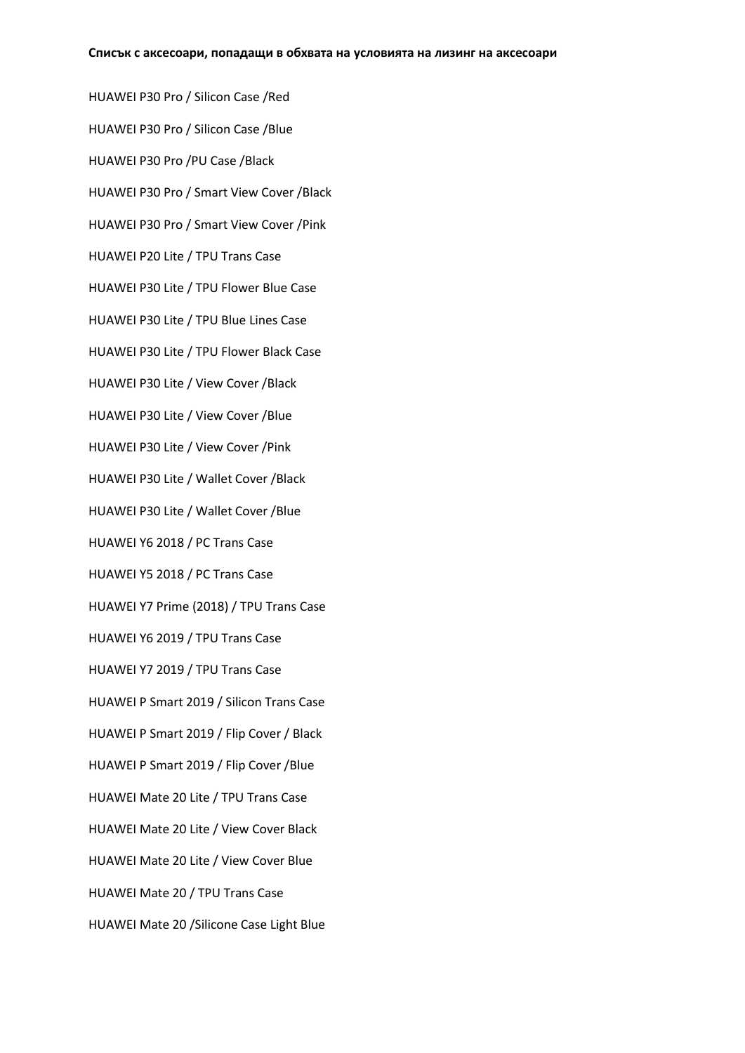HUAWEI P30 Pro / Silicon Case /Red HUAWEI P30 Pro / Silicon Case /Blue HUAWEI P30 Pro /PU Case /Black HUAWEI P30 Pro / Smart View Cover /Black HUAWEI P30 Pro / Smart View Cover /Pink HUAWEI P20 Lite / TPU Trans Case HUAWEI P30 Lite / TPU Flower Blue Case HUAWEI P30 Lite / TPU Blue Lines Case HUAWEI P30 Lite / TPU Flower Black Case HUAWEI P30 Lite / View Cover /Black HUAWEI P30 Lite / View Cover /Blue HUAWEI P30 Lite / View Cover /Pink HUAWEI P30 Lite / Wallet Cover /Black HUAWEI P30 Lite / Wallet Cover /Blue HUAWEI Y6 2018 / PC Trans Case HUAWEI Y5 2018 / PC Trans Case HUAWEI Y7 Prime (2018) / TPU Trans Case HUAWEI Y6 2019 / TPU Trans Case HUAWEI Y7 2019 / TPU Trans Case HUAWEI P Smart 2019 / Silicon Trans Case HUAWEI P Smart 2019 / Flip Cover / Black HUAWEI P Smart 2019 / Flip Cover /Blue HUAWEI Mate 20 Lite / TPU Trans Case HUAWEI Mate 20 Lite / View Cover Black HUAWEI Mate 20 Lite / View Cover Blue HUAWEI Mate 20 / TPU Trans Case HUAWEI Mate 20 /Silicone Case Light Blue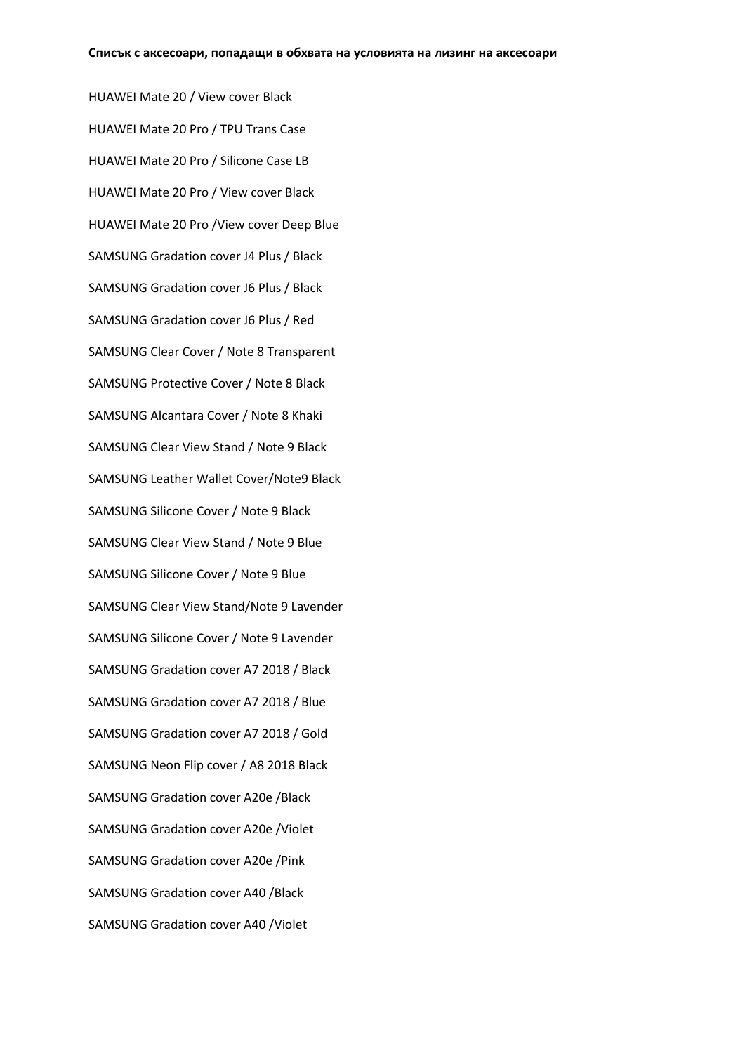HUAWEI Mate 20 / View cover Black HUAWEI Mate 20 Pro / TPU Trans Case HUAWEI Mate 20 Pro / Silicone Case LB HUAWEI Mate 20 Pro / View cover Black HUAWEI Mate 20 Pro /View cover Deep Blue SAMSUNG Gradation cover J4 Plus / Black SAMSUNG Gradation cover J6 Plus / Black SAMSUNG Gradation cover J6 Plus / Red SAMSUNG Clear Cover / Note 8 Transparent SAMSUNG Protective Cover / Note 8 Black SAMSUNG Alcantara Cover / Note 8 Khaki SAMSUNG Clear View Stand / Note 9 Black SAMSUNG Leather Wallet Cover/Note9 Black SAMSUNG Silicone Cover / Note 9 Black SAMSUNG Clear View Stand / Note 9 Blue SAMSUNG Silicone Cover / Note 9 Blue SAMSUNG Clear View Stand/Note 9 Lavender SAMSUNG Silicone Cover / Note 9 Lavender SAMSUNG Gradation cover A7 2018 / Black SAMSUNG Gradation cover A7 2018 / Blue SAMSUNG Gradation cover A7 2018 / Gold SAMSUNG Neon Flip cover / A8 2018 Black SAMSUNG Gradation cover A20e /Black SAMSUNG Gradation cover A20e /Violet SAMSUNG Gradation cover A20e /Pink SAMSUNG Gradation cover A40 /Black SAMSUNG Gradation cover A40 /Violet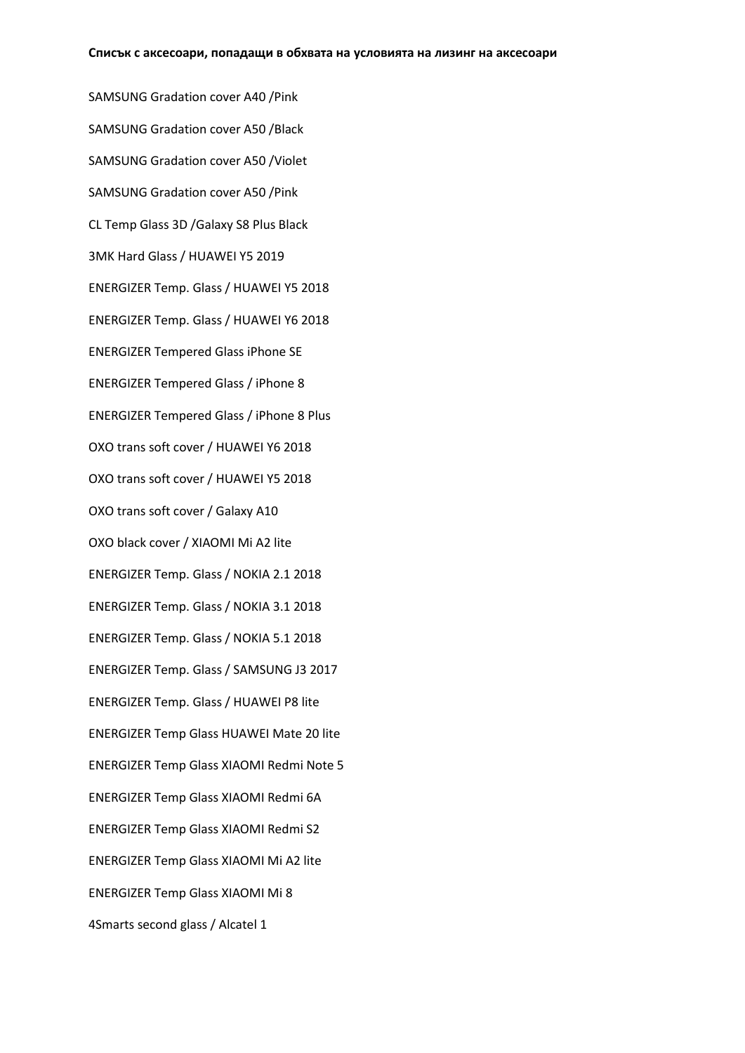SAMSUNG Gradation cover A40 /Pink SAMSUNG Gradation cover A50 /Black SAMSUNG Gradation cover A50 /Violet SAMSUNG Gradation cover A50 /Pink CL Temp Glass 3D /Galaxy S8 Plus Black 3MK Hard Glass / HUAWEI Y5 2019 ENERGIZER Temp. Glass / HUAWEI Y5 2018 ENERGIZER Temp. Glass / HUAWEI Y6 2018 ENERGIZER Tempered Glass iPhone SE ENERGIZER Tempered Glass / iPhone 8 ENERGIZER Tempered Glass / iPhone 8 Plus OXO trans soft cover / HUAWEI Y6 2018 OXO trans soft cover / HUAWEI Y5 2018 OXO trans soft cover / Galaxy A10 OXO black cover / XIAOMI Mi A2 lite ENERGIZER Temp. Glass / NOKIA 2.1 2018 ENERGIZER Temp. Glass / NOKIA 3.1 2018 ENERGIZER Temp. Glass / NOKIA 5.1 2018 ENERGIZER Temp. Glass / SAMSUNG J3 2017 ENERGIZER Temp. Glass / HUAWEI P8 lite ENERGIZER Temp Glass HUAWEI Mate 20 lite ENERGIZER Temp Glass XIAOMI Redmi Note 5 ENERGIZER Temp Glass XIAOMI Redmi 6A ENERGIZER Temp Glass XIAOMI Redmi S2 ENERGIZER Temp Glass XIAOMI Mi A2 lite ENERGIZER Temp Glass XIAOMI Mi 8 4Smarts second glass / Alcatel 1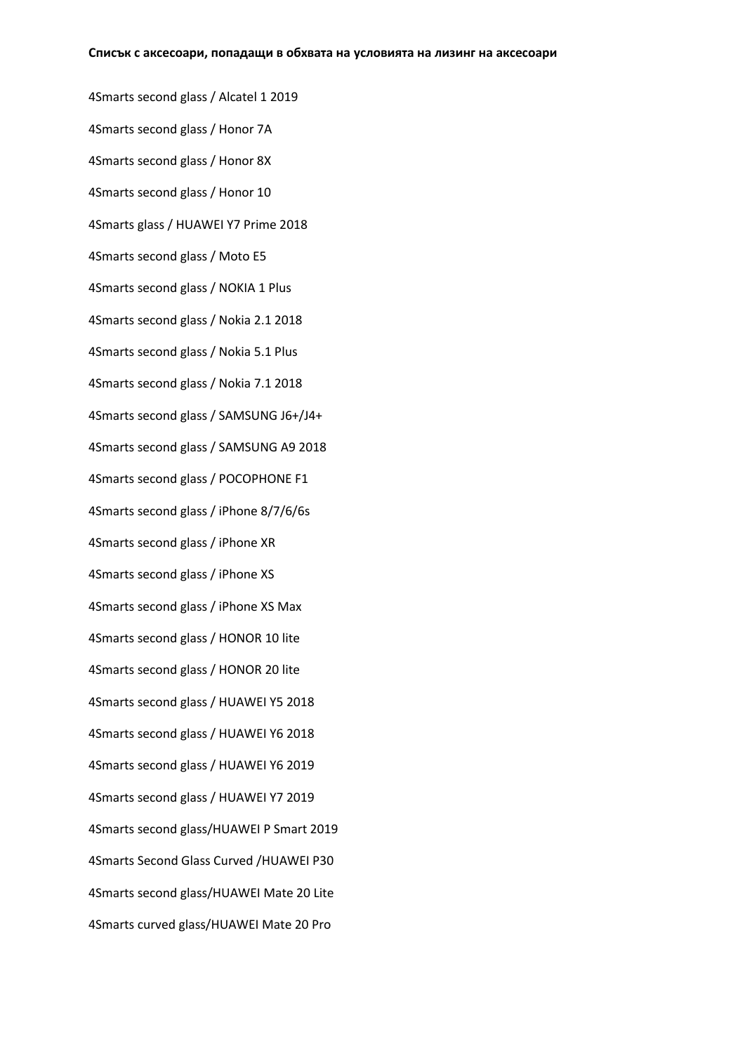4Smarts second glass / Alcatel 1 2019 4Smarts second glass / Honor 7A 4Smarts second glass / Honor 8X 4Smarts second glass / Honor 10 4Smarts glass / HUAWEI Y7 Prime 2018 4Smarts second glass / Moto E5 4Smarts second glass / NOKIA 1 Plus 4Smarts second glass / Nokia 2.1 2018 4Smarts second glass / Nokia 5.1 Plus 4Smarts second glass / Nokia 7.1 2018 4Smarts second glass / SAMSUNG J6+/J4+ 4Smarts second glass / SAMSUNG A9 2018 4Smarts second glass / POCOPHONE F1 4Smarts second glass / iPhone 8/7/6/6s 4Smarts second glass / iPhone XR 4Smarts second glass / iPhone XS 4Smarts second glass / iPhone XS Max 4Smarts second glass / HONOR 10 lite 4Smarts second glass / HONOR 20 lite 4Smarts second glass / HUAWEI Y5 2018 4Smarts second glass / HUAWEI Y6 2018 4Smarts second glass / HUAWEI Y6 2019 4Smarts second glass / HUAWEI Y7 2019 4Smarts second glass/HUAWEI P Smart 2019 4Smarts Second Glass Curved /HUAWEI P30 4Smarts second glass/HUAWEI Mate 20 Lite 4Smarts curved glass/HUAWEI Mate 20 Pro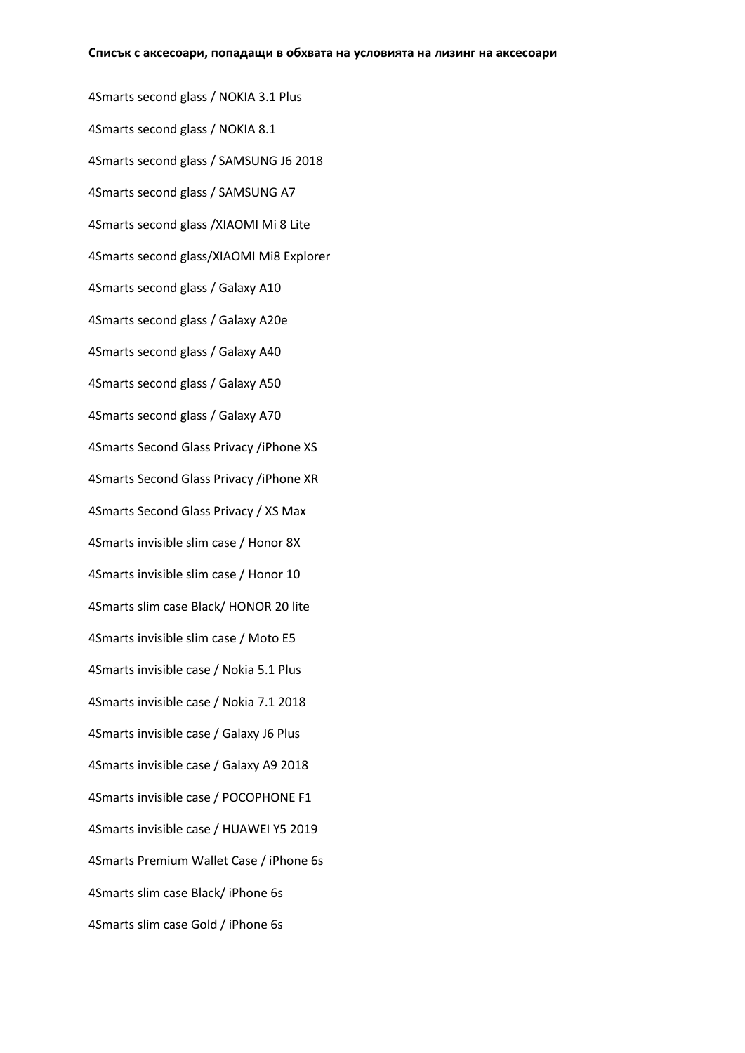4Smarts second glass / NOKIA 3.1 Plus 4Smarts second glass / NOKIA 8.1 4Smarts second glass / SAMSUNG J6 2018 4Smarts second glass / SAMSUNG A7 4Smarts second glass /XIAOMI Mi 8 Lite 4Smarts second glass/XIAOMI Mi8 Explorer 4Smarts second glass / Galaxy A10 4Smarts second glass / Galaxy A20e 4Smarts second glass / Galaxy A40 4Smarts second glass / Galaxy A50 4Smarts second glass / Galaxy A70 4Smarts Second Glass Privacy /iPhone XS 4Smarts Second Glass Privacy /iPhone XR 4Smarts Second Glass Privacy / XS Max 4Smarts invisible slim case / Honor 8X 4Smarts invisible slim case / Honor 10 4Smarts slim case Black/ HONOR 20 lite 4Smarts invisible slim case / Moto E5 4Smarts invisible case / Nokia 5.1 Plus 4Smarts invisible case / Nokia 7.1 2018 4Smarts invisible case / Galaxy J6 Plus 4Smarts invisible case / Galaxy A9 2018 4Smarts invisible case / POCOPHONE F1 4Smarts invisible case / HUAWEI Y5 2019 4Smarts Premium Wallet Case / iPhone 6s 4Smarts slim case Black/ iPhone 6s 4Smarts slim case Gold / iPhone 6s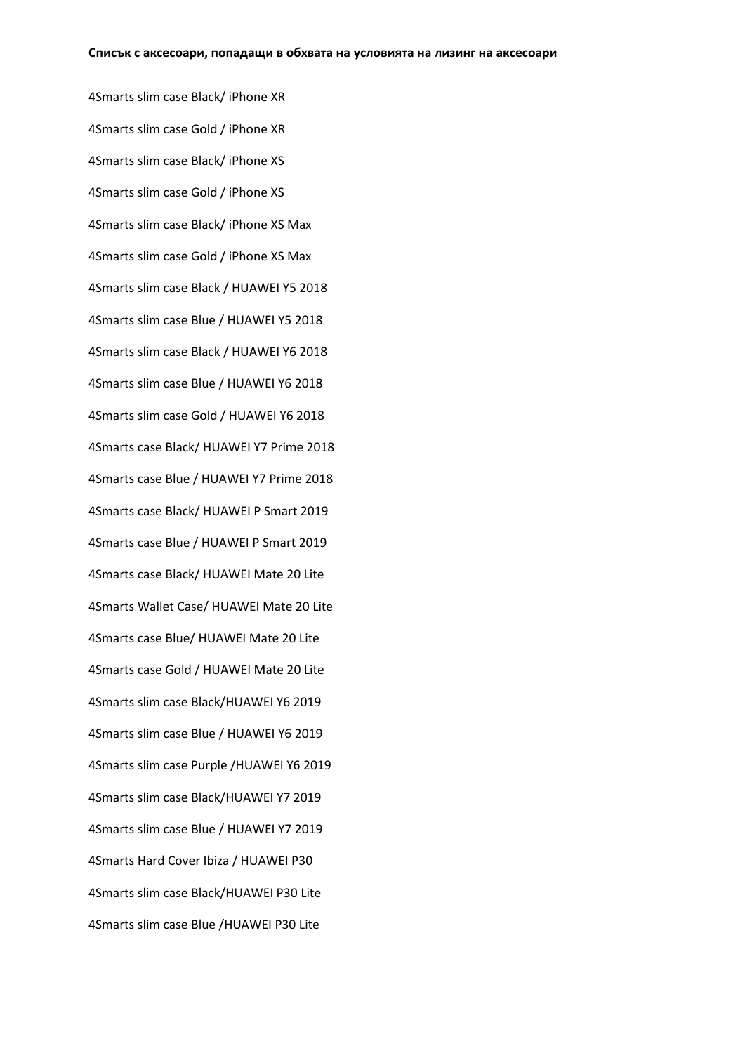4Smarts slim case Black/ iPhone XR 4Smarts slim case Gold / iPhone XR 4Smarts slim case Black/ iPhone XS 4Smarts slim case Gold / iPhone XS 4Smarts slim case Black/ iPhone XS Max 4Smarts slim case Gold / iPhone XS Max 4Smarts slim case Black / HUAWEI Y5 2018 4Smarts slim case Blue / HUAWEI Y5 2018 4Smarts slim case Black / HUAWEI Y6 2018 4Smarts slim case Blue / HUAWEI Y6 2018 4Smarts slim case Gold / HUAWEI Y6 2018 4Smarts case Black/ HUAWEI Y7 Prime 2018 4Smarts case Blue / HUAWEI Y7 Prime 2018 4Smarts case Black/ HUAWEI P Smart 2019 4Smarts case Blue / HUAWEI P Smart 2019 4Smarts case Black/ HUAWEI Mate 20 Lite 4Smarts Wallet Case/ HUAWEI Mate 20 Lite 4Smarts case Blue/ HUAWEI Mate 20 Lite 4Smarts case Gold / HUAWEI Mate 20 Lite 4Smarts slim case Black/HUAWEI Y6 2019 4Smarts slim case Blue / HUAWEI Y6 2019 4Smarts slim case Purple /HUAWEI Y6 2019 4Smarts slim case Black/HUAWEI Y7 2019 4Smarts slim case Blue / HUAWEI Y7 2019 4Smarts Hard Cover Ibiza / HUAWEI P30 4Smarts slim case Black/HUAWEI P30 Lite 4Smarts slim case Blue /HUAWEI P30 Lite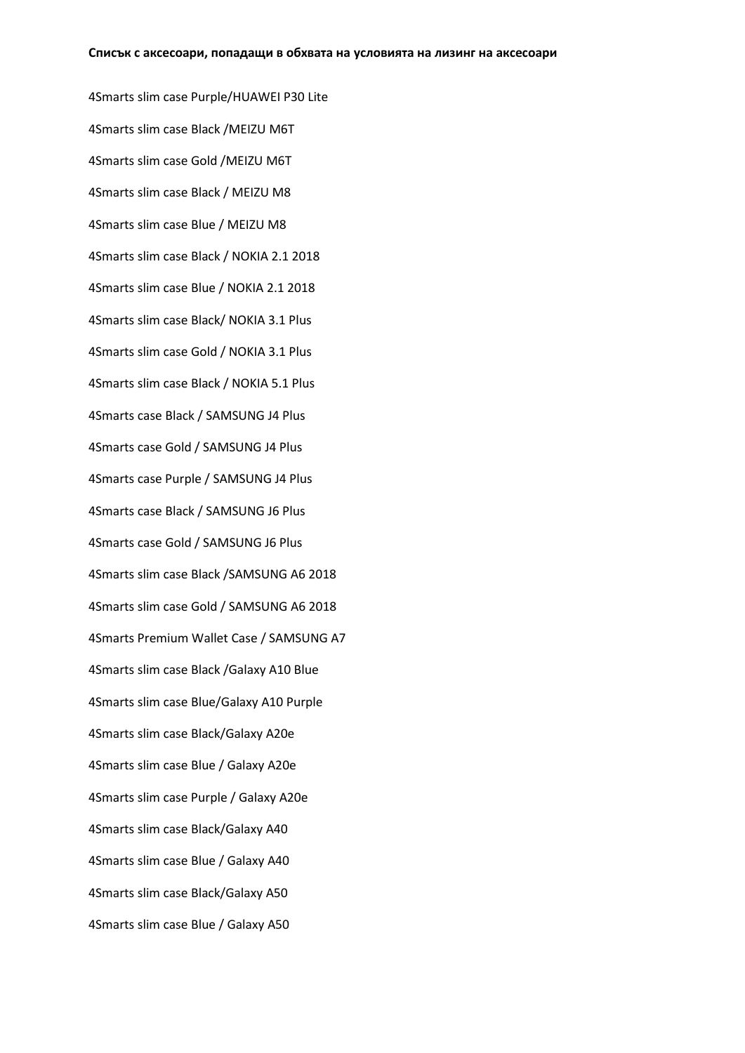4Smarts slim case Purple/HUAWEI P30 Lite 4Smarts slim case Black /MEIZU M6T 4Smarts slim case Gold /MEIZU M6T 4Smarts slim case Black / MEIZU M8 4Smarts slim case Blue / MEIZU M8 4Smarts slim case Black / NOKIA 2.1 2018 4Smarts slim case Blue / NOKIA 2.1 2018 4Smarts slim case Black/ NOKIA 3.1 Plus 4Smarts slim case Gold / NOKIA 3.1 Plus 4Smarts slim case Black / NOKIA 5.1 Plus 4Smarts case Black / SAMSUNG J4 Plus 4Smarts case Gold / SAMSUNG J4 Plus 4Smarts case Purple / SAMSUNG J4 Plus 4Smarts case Black / SAMSUNG J6 Plus 4Smarts case Gold / SAMSUNG J6 Plus 4Smarts slim case Black /SAMSUNG A6 2018 4Smarts slim case Gold / SAMSUNG A6 2018 4Smarts Premium Wallet Case / SAMSUNG A7 4Smarts slim case Black /Galaxy A10 Blue 4Smarts slim case Blue/Galaxy A10 Purple 4Smarts slim case Black/Galaxy A20e 4Smarts slim case Blue / Galaxy A20e 4Smarts slim case Purple / Galaxy A20e 4Smarts slim case Black/Galaxy A40 4Smarts slim case Blue / Galaxy A40 4Smarts slim case Black/Galaxy A50 4Smarts slim case Blue / Galaxy A50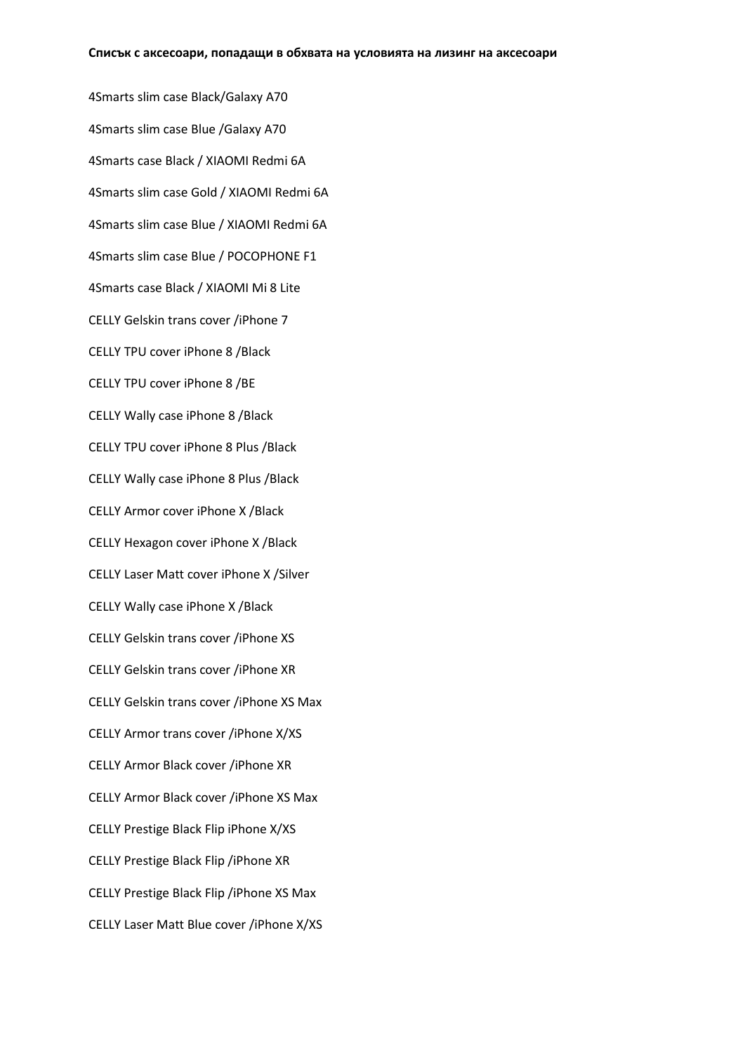4Smarts slim case Black/Galaxy A70 4Smarts slim case Blue /Galaxy A70 4Smarts case Black / XIAOMI Redmi 6A 4Smarts slim case Gold / XIAOMI Redmi 6A 4Smarts slim case Blue / XIAOMI Redmi 6A 4Smarts slim case Blue / POCOPHONE F1 4Smarts case Black / XIAOMI Mi 8 Lite CELLY Gelskin trans cover /iPhone 7 CELLY TPU cover iPhone 8 /Black CELLY TPU cover iPhone 8 /BE CELLY Wally case iPhone 8 /Black CELLY TPU cover iPhone 8 Plus /Black CELLY Wally case iPhone 8 Plus /Black CELLY Armor cover iPhone X /Black CELLY Hexagon cover iPhone X /Black CELLY Laser Matt cover iPhone X /Silver CELLY Wally case iPhone X /Black CELLY Gelskin trans cover /iPhone XS CELLY Gelskin trans cover /iPhone XR CELLY Gelskin trans cover /iPhone XS Max CELLY Armor trans cover /iPhone X/XS CELLY Armor Black cover /iPhone XR CELLY Armor Black cover /iPhone XS Max CELLY Prestige Black Flip iPhone X/XS CELLY Prestige Black Flip /iPhone XR CELLY Prestige Black Flip /iPhone XS Max CELLY Laser Matt Blue cover /iPhone X/XS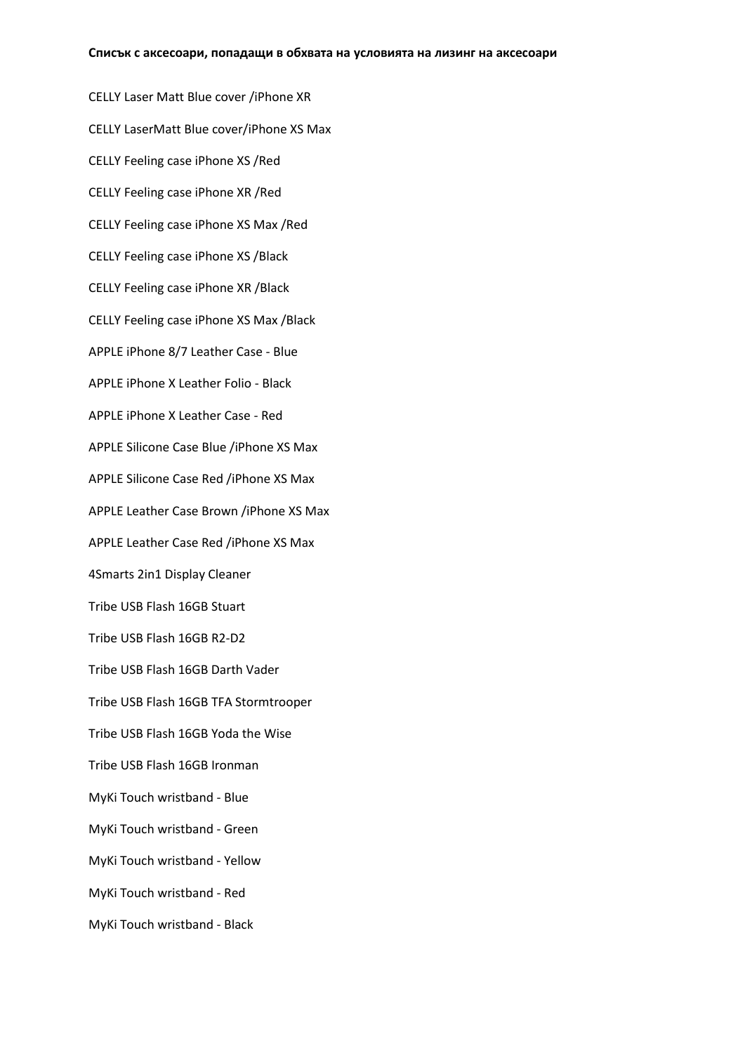CELLY Laser Matt Blue cover /iPhone XR CELLY LaserMatt Blue cover/iPhone XS Max CELLY Feeling case iPhone XS /Red CELLY Feeling case iPhone XR /Red CELLY Feeling case iPhone XS Max /Red CELLY Feeling case iPhone XS /Black CELLY Feeling case iPhone XR /Black CELLY Feeling case iPhone XS Max /Black APPLE iPhone 8/7 Leather Case - Blue APPLE iPhone X Leather Folio - Black APPLE iPhone X Leather Case - Red APPLE Silicone Case Blue /iPhone XS Max APPLE Silicone Case Red /iPhone XS Max APPLE Leather Case Brown /iPhone XS Max APPLE Leather Case Red /iPhone XS Max 4Smarts 2in1 Display Cleaner Tribe USB Flash 16GB Stuart Tribe USB Flash 16GB R2-D2 Tribe USB Flash 16GB Darth Vader Tribe USB Flash 16GB TFA Stormtrooper Tribe USB Flash 16GB Yoda the Wise Tribe USB Flash 16GB Ironman MyKi Touch wristband - Blue MyKi Touch wristband - Green MyKi Touch wristband - Yellow MyKi Touch wristband - Red MyKi Touch wristband - Black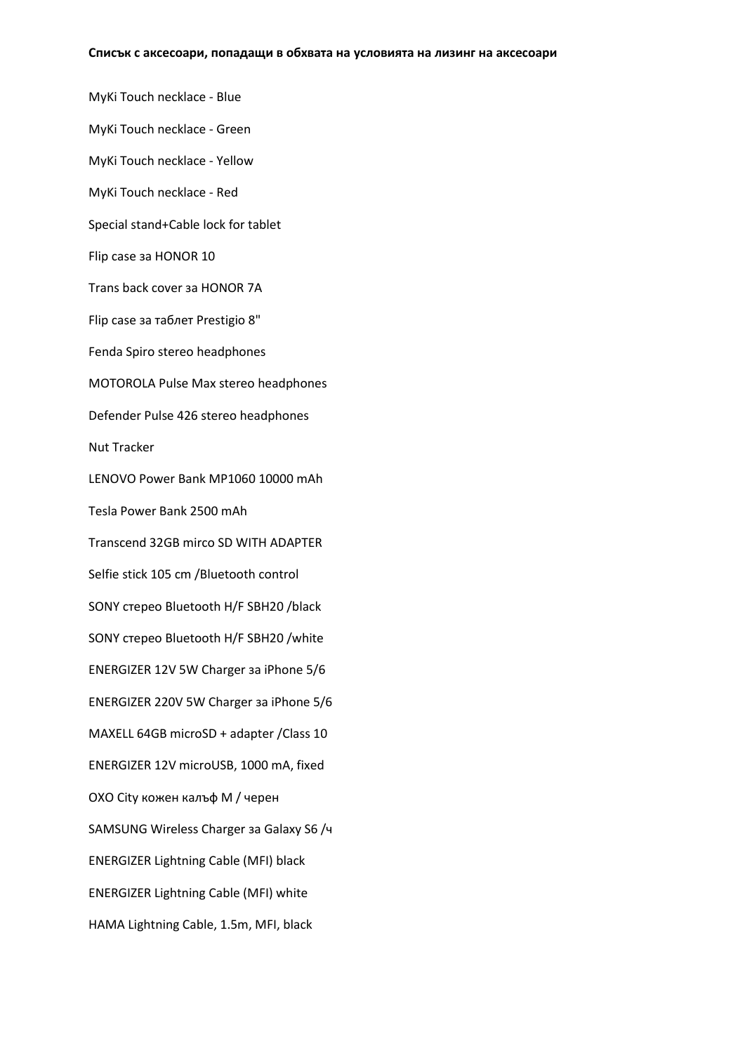MyKi Touch necklace - Blue MyKi Touch necklace - Green MyKi Touch necklace - Yellow MyKi Touch necklace - Red Special stand+Cable lock for tablet Flip case за HONOR 10 Trans back cover за HONOR 7A Flip case за таблет Prestigio 8" Fenda Spiro stereo headphones MOTOROLA Pulse Max stereo headphones Defender Pulse 426 stereo headphones Nut Тracker LENOVO Power Bank MP1060 10000 mAh Tesla Power Bank 2500 mAh Transcend 32GB mirco SD WITH ADAPTER Selfie stick 105 cm /Bluetooth control SONY стерео Bluetooth H/F SBH20 /black SONY стерео Bluetooth H/F SBH20 /white ENERGIZER 12V 5W Charger за iPhone 5/6 ENERGIZER 220V 5W Charger за iPhone 5/6 MAXELL 64GB microSD + adapter /Class 10 ENERGIZER 12V microUSB, 1000 mA, fixed OXO City кожен калъф M / черен SAMSUNG Wireless Charger за Galaxy S6 /ч ENERGIZER Lightning Cable (MFI) black ENERGIZER Lightning Cable (MFI) white HAMA Lightning Cable, 1.5m, MFI, black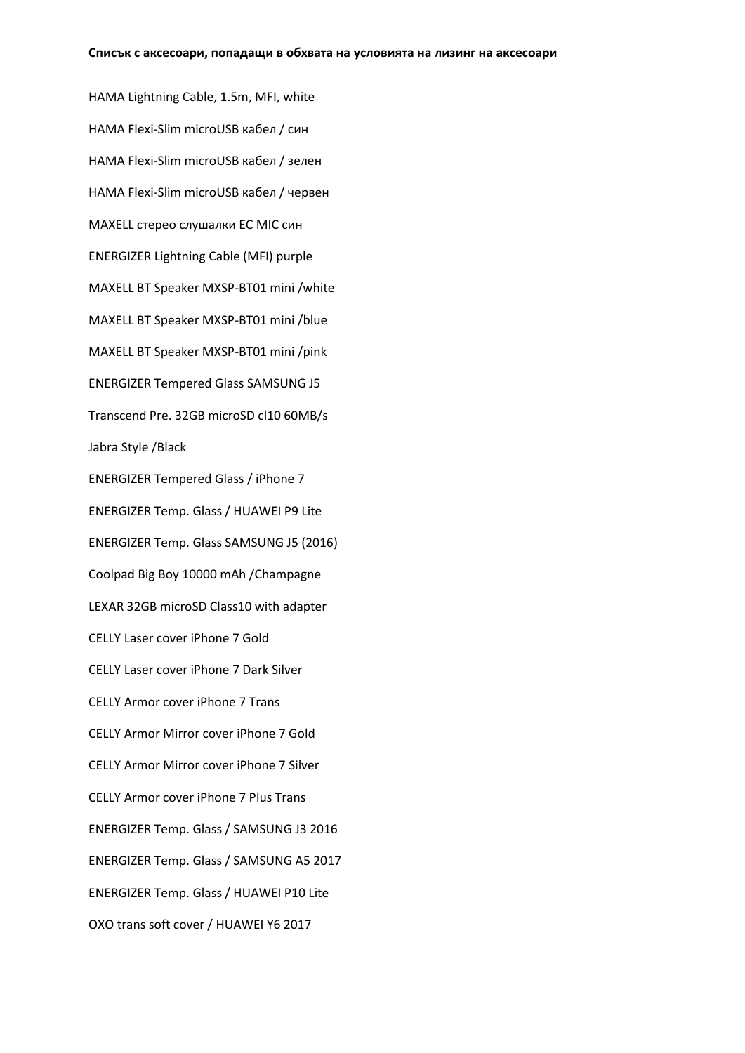HAMA Lightning Cable, 1.5m, MFI, white HAMA Flexi-Slim microUSB кабел / син HAMA Flexi-Slim microUSB кабел / зелен HAMA Flexi-Slim microUSB кабел / червен MAXELL стерео слушалки EC MIC син ENERGIZER Lightning Cable (MFI) purple MAXELL BT Speaker MXSP-BT01 mini /white MAXELL BT Speaker MXSP-BT01 mini /blue MAXELL BT Speaker MXSP-BT01 mini /pink ENERGIZER Tempered Glass SAMSUNG J5 Transcend Pre. 32GB microSD cl10 60MB/s Jabra Style /Black ENERGIZER Tempered Glass / iPhone 7 ENERGIZER Temp. Glass / HUAWEI P9 Lite ENERGIZER Temp. Glass SAMSUNG J5 (2016) Coolpad Big Boy 10000 mAh /Champagne LEXAR 32GB microSD Class10 with adapter CELLY Laser cover iPhone 7 Gold CELLY Laser cover iPhone 7 Dark Silver CELLY Armor cover iPhone 7 Trans CELLY Armor Mirror cover iPhone 7 Gold CELLY Armor Mirror cover iPhone 7 Silver CELLY Armor cover iPhone 7 Plus Trans ENERGIZER Temp. Glass / SAMSUNG J3 2016 ENERGIZER Temp. Glass / SAMSUNG A5 2017 ENERGIZER Temp. Glass / HUAWEI P10 Lite OXO trans soft cover / HUAWEI Y6 2017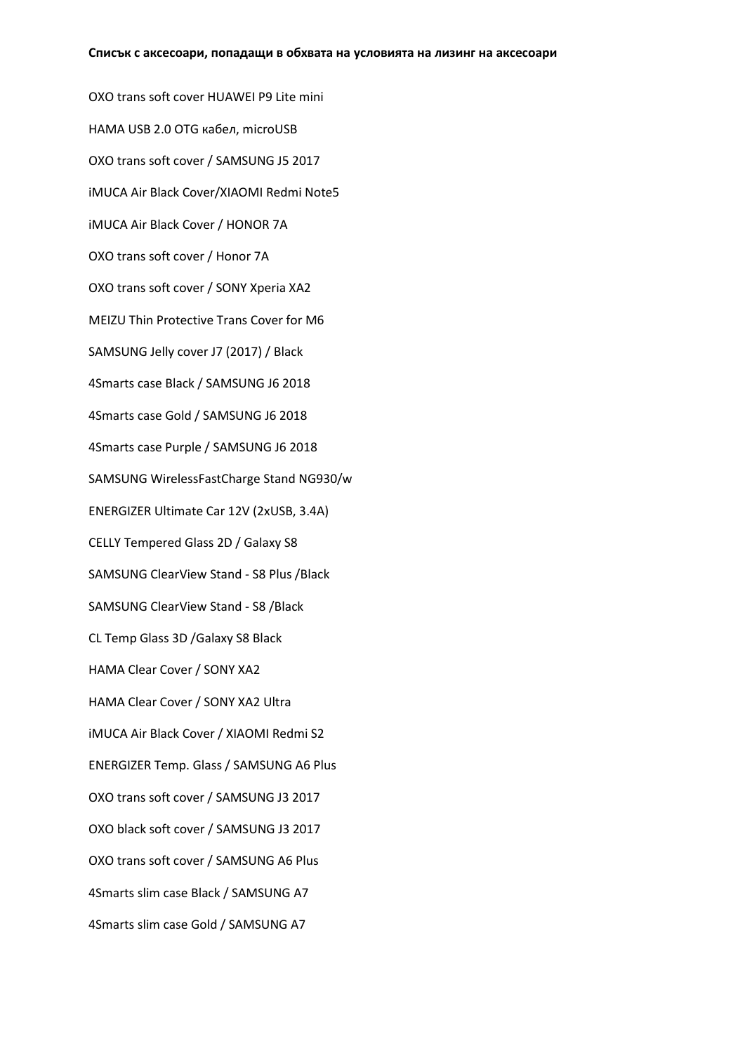OXO trans soft cover HUAWEI P9 Lite mini HAMA USB 2.0 OTG кабел, microUSB OXO trans soft cover / SAMSUNG J5 2017 iMUCA Air Black Cover/XIAOMI Redmi Note5 iMUCA Air Black Cover / HONOR 7A OXO trans soft cover / Honor 7A OXO trans soft cover / SONY Xperia XA2 MEIZU Thin Protective Trans Cover for M6 SAMSUNG Jelly cover J7 (2017) / Black 4Smarts case Black / SAMSUNG J6 2018 4Smarts case Gold / SAMSUNG J6 2018 4Smarts case Purple / SAMSUNG J6 2018 SAMSUNG WirelessFastCharge Stand NG930/w ENERGIZER Ultimate Car 12V (2xUSB, 3.4A) CELLY Tempered Glass 2D / Galaxy S8 SAMSUNG ClearView Stand - S8 Plus /Black SAMSUNG ClearView Stand - S8 /Black CL Temp Glass 3D /Galaxy S8 Black HAMA Clear Cover / SONY XA2 HAMA Clear Cover / SONY XA2 Ultra iMUCA Air Black Cover / XIAOMI Redmi S2 ENERGIZER Temp. Glass / SAMSUNG A6 Plus OXO trans soft cover / SAMSUNG J3 2017 OXO black soft cover / SAMSUNG J3 2017 OXO trans soft cover / SAMSUNG A6 Plus 4Smarts slim case Black / SAMSUNG A7 4Smarts slim case Gold / SAMSUNG A7